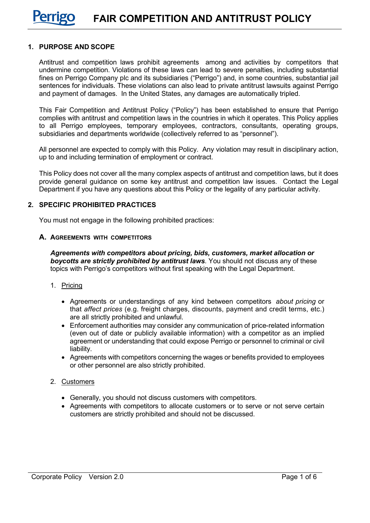### **1. PURPOSE AND SCOPE**

Antitrust and competition laws prohibit agreements among and activities by competitors that undermine competition. Violations of these laws can lead to severe penalties, including substantial fines on Perrigo Company plc and its subsidiaries ("Perrigo") and, in some countries, substantial jail sentences for individuals. These violations can also lead to private antitrust lawsuits against Perrigo and payment of damages. In the United States, any damages are automatically tripled.

This Fair Competition and Antitrust Policy ("Policy") has been established to ensure that Perrigo complies with antitrust and competition laws in the countries in which it operates. This Policy applies to all Perrigo employees, temporary employees, contractors, consultants, operating groups, subsidiaries and departments worldwide (collectively referred to as "personnel").

All personnel are expected to comply with this Policy. Any violation may result in disciplinary action, up to and including termination of employment or contract.

This Policy does not cover all the many complex aspects of antitrust and competition laws, but it does provide general guidance on some key antitrust and competition law issues. Contact the Legal Department if you have any questions about this Policy or the legality of any particular activity.

### **2. SPECIFIC PROHIBITED PRACTICES**

You must not engage in the following prohibited practices:

#### **A. AGREEMENTS WITH COMPETITORS**

*Agreements with competitors about pricing, bids, customers, market allocation or boycotts are strictly prohibited by antitrust laws.* You should not discuss any of these topics with Perrigo's competitors without first speaking with the Legal Department.

- 1. Pricing
	- Agreements or understandings of any kind between competitors *about pricing* or that *affect prices* (e.g. freight charges, discounts, payment and credit terms, etc.) are all strictly prohibited and unlawful.
	- Enforcement authorities may consider any communication of price-related information (even out of date or publicly available information) with a competitor as an implied agreement or understanding that could expose Perrigo or personnel to criminal or civil liability.
	- Agreements with competitors concerning the wages or benefits provided to employees or other personnel are also strictly prohibited.
- 2. Customers
	- Generally, you should not discuss customers with competitors.
	- Agreements with competitors to allocate customers or to serve or not serve certain customers are strictly prohibited and should not be discussed.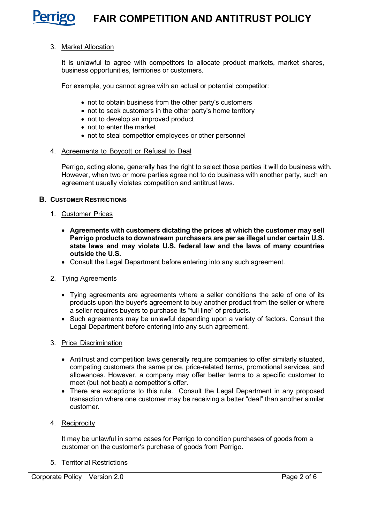#### 3. Market Allocation

It is unlawful to agree with competitors to allocate product markets, market shares, business opportunities, territories or customers.

For example, you cannot agree with an actual or potential competitor:

- not to obtain business from the other party's customers
- not to seek customers in the other party's home territory
- not to develop an improved product
- not to enter the market
- not to steal competitor employees or other personnel

#### 4. Agreements to Boycott or Refusal to Deal

Perrigo, acting alone, generally has the right to select those parties it will do business with. However, when two or more parties agree not to do business with another party, such an agreement usually violates competition and antitrust laws.

#### **B. CUSTOMER RESTRICTIONS**

- 1. Customer Prices
	- **Agreements with customers dictating the prices at which the customer may sell Perrigo products to downstream purchasers are per se illegal under certain U.S. state laws and may violate U.S. federal law and the laws of many countries outside the U.S.**
	- Consult the Legal Department before entering into any such agreement.
- 2. Tying Agreements
	- Tying agreements are agreements where a seller conditions the sale of one of its products upon the buyer's agreement to buy another product from the seller or where a seller requires buyers to purchase its "full line" of products.
	- Such agreements may be unlawful depending upon a variety of factors. Consult the Legal Department before entering into any such agreement.
- 3. Price Discrimination
	- Antitrust and competition laws generally require companies to offer similarly situated, competing customers the same price, price-related terms, promotional services, and allowances. However, a company may offer better terms to a specific customer to meet (but not beat) a competitor's offer.
	- There are exceptions to this rule. Consult the Legal Department in any proposed transaction where one customer may be receiving a better "deal" than another similar customer.
- 4. Reciprocity

It may be unlawful in some cases for Perrigo to condition purchases of goods from a customer on the customer's purchase of goods from Perrigo.

5. Territorial Restrictions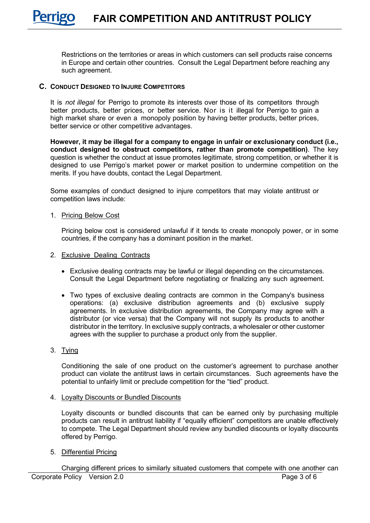Restrictions on the territories or areas in which customers can sell products raise concerns in Europe and certain other countries. Consult the Legal Department before reaching any such agreement.

# **C. CONDUCT DESIGNED TO INJURE COMPETITORS**

It is *not illegal* for Perrigo to promote its interests over those of its competitors through better products, better prices, or better service. Nor is it illegal for Perrigo to gain a high market share or even a monopoly position by having better products, better prices, better service or other competitive advantages.

**However, it may be illegal for a company to engage in unfair or exclusionary conduct (i.e., conduct designed to obstruct competitors, rather than promote competition)**. The key question is whether the conduct at issue promotes legitimate, strong competition, or whether it is designed to use Perrigo's market power or market position to undermine competition on the merits. If you have doubts, contact the Legal Department.

Some examples of conduct designed to injure competitors that may violate antitrust or competition laws include:

#### 1. Pricing Below Cost

Pricing below cost is considered unlawful if it tends to create monopoly power, or in some countries, if the company has a dominant position in the market.

- 2. Exclusive Dealing Contracts
	- Exclusive dealing contracts may be lawful or illegal depending on the circumstances. Consult the Legal Department before negotiating or finalizing any such agreement.
	- Two types of exclusive dealing contracts are common in the Company's business operations: (a) exclusive distribution agreements and (b) exclusive supply agreements. In exclusive distribution agreements, the Company may agree with a distributor (or vice versa) that the Company will not supply its products to another distributor in the territory. In exclusive supply contracts, a wholesaler or other customer agrees with the supplier to purchase a product only from the supplier.
- 3. Tying

Conditioning the sale of one product on the customer's agreement to purchase another product can violate the antitrust laws in certain circumstances. Such agreements have the potential to unfairly limit or preclude competition for the "tied" product.

4. Loyalty Discounts or Bundled Discounts

Loyalty discounts or bundled discounts that can be earned only by purchasing multiple products can result in antitrust liability if "equally efficient" competitors are unable effectively to compete. The Legal Department should review any bundled discounts or loyalty discounts offered by Perrigo.

5. Differential Pricing

Corporate Policy Version 2.0 **Page 3 of 6** Page 3 of 6 Charging different prices to similarly situated customers that compete with one another can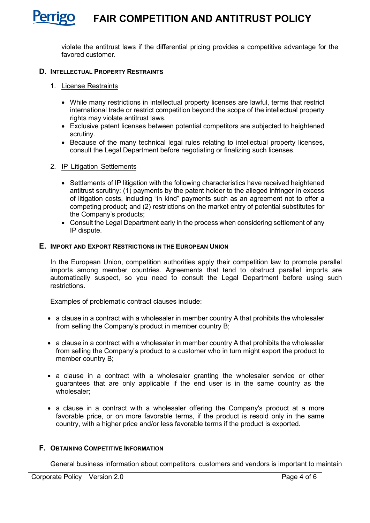violate the antitrust laws if the differential pricing provides a competitive advantage for the favored customer.

# **D. INTELLECTUAL PROPERTY RESTRAINTS**

- 1. License Restraints
	- While many restrictions in intellectual property licenses are lawful, terms that restrict international trade or restrict competition beyond the scope of the intellectual property rights may violate antitrust laws.
	- Exclusive patent licenses between potential competitors are subjected to heightened scrutiny.
	- Because of the many technical legal rules relating to intellectual property licenses, consult the Legal Department before negotiating or finalizing such licenses.
- 2. IP Litigation Settlements
	- Settlements of IP litigation with the following characteristics have received heightened antitrust scrutiny: (1) payments by the patent holder to the alleged infringer in excess of litigation costs, including "in kind" payments such as an agreement not to offer a competing product; and (2) restrictions on the market entry of potential substitutes for the Company's products;
	- Consult the Legal Department early in the process when considering settlement of any IP dispute.

### **E. IMPORT AND EXPORT RESTRICTIONS IN THE EUROPEAN UNION**

In the European Union, competition authorities apply their competition law to promote parallel imports among member countries. Agreements that tend to obstruct parallel imports are automatically suspect, so you need to consult the Legal Department before using such restrictions.

Examples of problematic contract clauses include:

- a clause in a contract with a wholesaler in member country A that prohibits the wholesaler from selling the Company's product in member country B;
- a clause in a contract with a wholesaler in member country A that prohibits the wholesaler from selling the Company's product to a customer who in turn might export the product to member country B;
- a clause in a contract with a wholesaler granting the wholesaler service or other guarantees that are only applicable if the end user is in the same country as the wholesaler;
- a clause in a contract with a wholesaler offering the Company's product at a more favorable price, or on more favorable terms, if the product is resold only in the same country, with a higher price and/or less favorable terms if the product is exported.

# **F. OBTAINING COMPETITIVE INFORMATION**

General business information about competitors, customers and vendors is important to maintain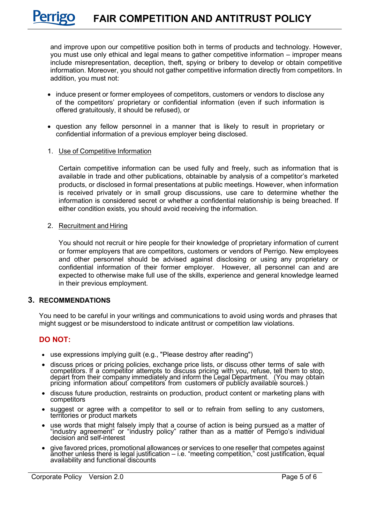and improve upon our competitive position both in terms of products and technology. However, you must use only ethical and legal means to gather competitive information – improper means include misrepresentation, deception, theft, spying or bribery to develop or obtain competitive information. Moreover, you should not gather competitive information directly from competitors. In addition, you must not:

- induce present or former employees of competitors, customers or vendors to disclose any of the competitors' proprietary or confidential information (even if such information is offered gratuitously, it should be refused), or
- question any fellow personnel in a manner that is likely to result in proprietary or confidential information of a previous employer being disclosed.

### 1. Use of Competitive Information

Certain competitive information can be used fully and freely, such as information that is available in trade and other publications, obtainable by analysis of a competitor's marketed products, or disclosed in formal presentations at public meetings. However, when information is received privately or in small group discussions, use care to determine whether the information is considered secret or whether a confidential relationship is being breached. If either condition exists, you should avoid receiving the information.

#### 2. Recruitment and Hiring

You should not recruit or hire people for their knowledge of proprietary information of current or former employers that are competitors, customers or vendors of Perrigo. New employees and other personnel should be advised against disclosing or using any proprietary or confidential information of their former employer. However, all personnel can and are expected to otherwise make full use of the skills, experience and general knowledge learned in their previous employment.

### **3. RECOMMENDATIONS**

You need to be careful in your writings and communications to avoid using words and phrases that might suggest or be misunderstood to indicate antitrust or competition law violations.

# **DO NOT:**

- use expressions implying guilt (e.g., "Please destroy after reading")
- discuss prices or pricing policies, exchange price lists, or discuss other terms of sale with<br>competitors. If a competitor attempts to discuss pricing with you, refuse, tell them to stop, depart from their company immediately and inform the Legal Department. (You may obtain pricing information about competitors from customers or publicly available sources.)
- discuss future production, restraints on production, product content or marketing plans with competitors
- suggest or agree with a competitor to sell or to refrain from selling to any customers, territories or product markets
- use words that might falsely imply that a course of action is being pursued as a matter of "industry agreement" or "industry policy" rather than as a matter of Perrigo's individual<br>decision and self-interest
- give favored prices, promotional allowances or services to one reseller that competes against<br>another unless there is legal justification i.e. "meeting competition," cost justification, equal<br>availability and functional